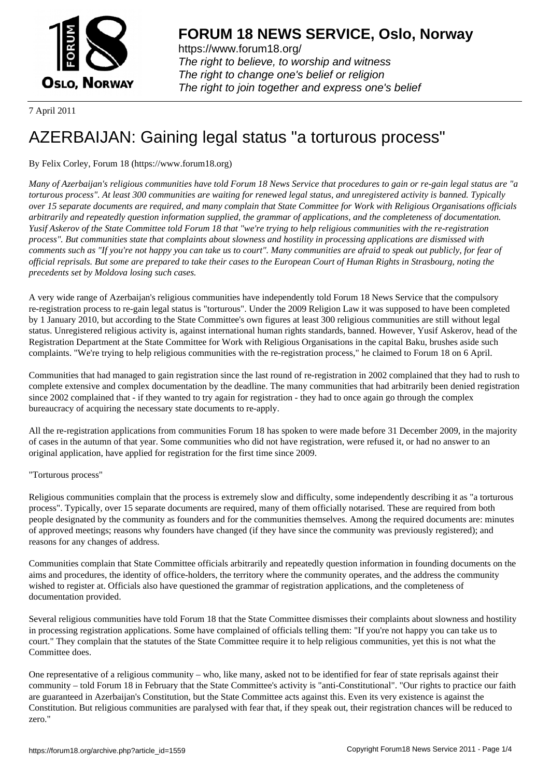

https://www.forum18.org/ The right to believe, to worship and witness The right to change one's belief or religion [The right to join together a](https://www.forum18.org/)nd express one's belief

7 April 2011

# [AZERBAIJAN: G](https://www.forum18.org)aining legal status "a torturous process"

## By Felix Corley, Forum 18 (https://www.forum18.org)

*Many of Azerbaijan's religious communities have told Forum 18 News Service that procedures to gain or re-gain legal status are "a torturous process". At least 300 communities are waiting for renewed legal status, and unregistered activity is banned. Typically over 15 separate documents are required, and many complain that State Committee for Work with Religious Organisations officials arbitrarily and repeatedly question information supplied, the grammar of applications, and the completeness of documentation. Yusif Askerov of the State Committee told Forum 18 that "we're trying to help religious communities with the re-registration process". But communities state that complaints about slowness and hostility in processing applications are dismissed with comments such as "If you're not happy you can take us to court". Many communities are afraid to speak out publicly, for fear of official reprisals. But some are prepared to take their cases to the European Court of Human Rights in Strasbourg, noting the precedents set by Moldova losing such cases.*

A very wide range of Azerbaijan's religious communities have independently told Forum 18 News Service that the compulsory re-registration process to re-gain legal status is "torturous". Under the 2009 Religion Law it was supposed to have been completed by 1 January 2010, but according to the State Committee's own figures at least 300 religious communities are still without legal status. Unregistered religious activity is, against international human rights standards, banned. However, Yusif Askerov, head of the Registration Department at the State Committee for Work with Religious Organisations in the capital Baku, brushes aside such complaints. "We're trying to help religious communities with the re-registration process," he claimed to Forum 18 on 6 April.

Communities that had managed to gain registration since the last round of re-registration in 2002 complained that they had to rush to complete extensive and complex documentation by the deadline. The many communities that had arbitrarily been denied registration since 2002 complained that - if they wanted to try again for registration - they had to once again go through the complex bureaucracy of acquiring the necessary state documents to re-apply.

All the re-registration applications from communities Forum 18 has spoken to were made before 31 December 2009, in the majority of cases in the autumn of that year. Some communities who did not have registration, were refused it, or had no answer to an original application, have applied for registration for the first time since 2009.

### "Torturous process"

Religious communities complain that the process is extremely slow and difficulty, some independently describing it as "a torturous process". Typically, over 15 separate documents are required, many of them officially notarised. These are required from both people designated by the community as founders and for the communities themselves. Among the required documents are: minutes of approved meetings; reasons why founders have changed (if they have since the community was previously registered); and reasons for any changes of address.

Communities complain that State Committee officials arbitrarily and repeatedly question information in founding documents on the aims and procedures, the identity of office-holders, the territory where the community operates, and the address the community wished to register at. Officials also have questioned the grammar of registration applications, and the completeness of documentation provided.

Several religious communities have told Forum 18 that the State Committee dismisses their complaints about slowness and hostility in processing registration applications. Some have complained of officials telling them: "If you're not happy you can take us to court." They complain that the statutes of the State Committee require it to help religious communities, yet this is not what the Committee does.

One representative of a religious community – who, like many, asked not to be identified for fear of state reprisals against their community – told Forum 18 in February that the State Committee's activity is "anti-Constitutional". "Our rights to practice our faith are guaranteed in Azerbaijan's Constitution, but the State Committee acts against this. Even its very existence is against the Constitution. But religious communities are paralysed with fear that, if they speak out, their registration chances will be reduced to zero."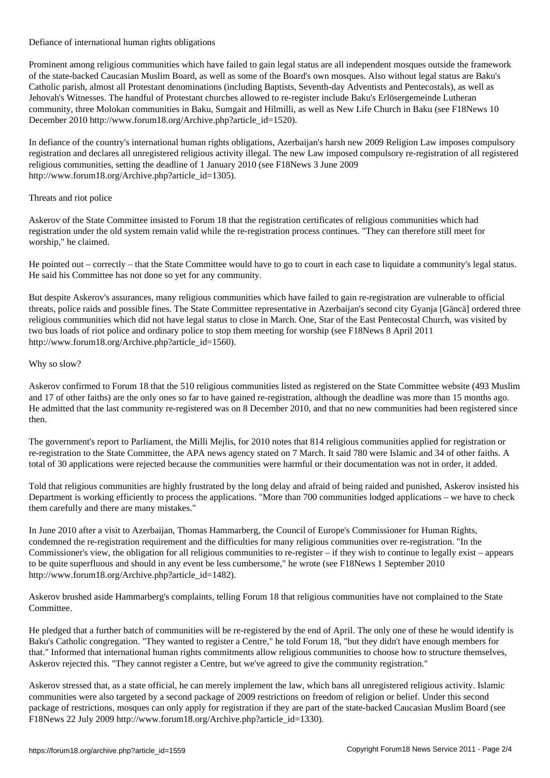Defiance of international human rights obligations

Prominent among religious communities which have failed to gain legal status are all independent mosques outside the framework of the state-backed Caucasian Muslim Board, as well as some of the Board's own mosques. Also without legal status are Baku's Catholic parish, almost all Protestant denominations (including Baptists, Seventh-day Adventists and Pentecostals), as well as Jehovah's Witnesses. The handful of Protestant churches allowed to re-register include Baku's Erlösergemeinde Lutheran community, three Molokan communities in Baku, Sumgait and Hilmilli, as well as New Life Church in Baku (see F18News 10 December 2010 http://www.forum18.org/Archive.php?article\_id=1520).

In defiance of the country's international human rights obligations, Azerbaijan's harsh new 2009 Religion Law imposes compulsory registration and declares all unregistered religious activity illegal. The new Law imposed compulsory re-registration of all registered religious communities, setting the deadline of 1 January 2010 (see F18News 3 June 2009 http://www.forum18.org/Archive.php?article\_id=1305).

#### Threats and riot police

Askerov of the State Committee insisted to Forum 18 that the registration certificates of religious communities which had registration under the old system remain valid while the re-registration process continues. "They can therefore still meet for worship," he claimed.

He pointed out – correctly – that the State Committee would have to go to court in each case to liquidate a community's legal status. He said his Committee has not done so yet for any community.

But despite Askerov's assurances, many religious communities which have failed to gain re-registration are vulnerable to official threats, police raids and possible fines. The State Committee representative in Azerbaijan's second city Gyanja [Gäncä] ordered three religious communities which did not have legal status to close in March. One, Star of the East Pentecostal Church, was visited by two bus loads of riot police and ordinary police to stop them meeting for worship (see F18News 8 April 2011 http://www.forum18.org/Archive.php?article\_id=1560).

#### Why so slow?

Askerov confirmed to Forum 18 that the 510 religious communities listed as registered on the State Committee website (493 Muslim and 17 of other faiths) are the only ones so far to have gained re-registration, although the deadline was more than 15 months ago. He admitted that the last community re-registered was on 8 December 2010, and that no new communities had been registered since then.

The government's report to Parliament, the Milli Mejlis, for 2010 notes that 814 religious communities applied for registration or re-registration to the State Committee, the APA news agency stated on 7 March. It said 780 were Islamic and 34 of other faiths. A total of 30 applications were rejected because the communities were harmful or their documentation was not in order, it added.

Told that religious communities are highly frustrated by the long delay and afraid of being raided and punished, Askerov insisted his Department is working efficiently to process the applications. "More than 700 communities lodged applications – we have to check them carefully and there are many mistakes."

In June 2010 after a visit to Azerbaijan, Thomas Hammarberg, the Council of Europe's Commissioner for Human Rights, condemned the re-registration requirement and the difficulties for many religious communities over re-registration. "In the Commissioner's view, the obligation for all religious communities to re-register – if they wish to continue to legally exist – appears to be quite superfluous and should in any event be less cumbersome," he wrote (see F18News 1 September 2010 http://www.forum18.org/Archive.php?article\_id=1482).

Askerov brushed aside Hammarberg's complaints, telling Forum 18 that religious communities have not complained to the State Committee.

He pledged that a further batch of communities will be re-registered by the end of April. The only one of these he would identify is Baku's Catholic congregation. "They wanted to register a Centre," he told Forum 18, "but they didn't have enough members for that." Informed that international human rights commitments allow religious communities to choose how to structure themselves, Askerov rejected this. "They cannot register a Centre, but we've agreed to give the community registration."

Askerov stressed that, as a state official, he can merely implement the law, which bans all unregistered religious activity. Islamic communities were also targeted by a second package of 2009 restrictions on freedom of religion or belief. Under this second package of restrictions, mosques can only apply for registration if they are part of the state-backed Caucasian Muslim Board (see F18News 22 July 2009 http://www.forum18.org/Archive.php?article\_id=1330).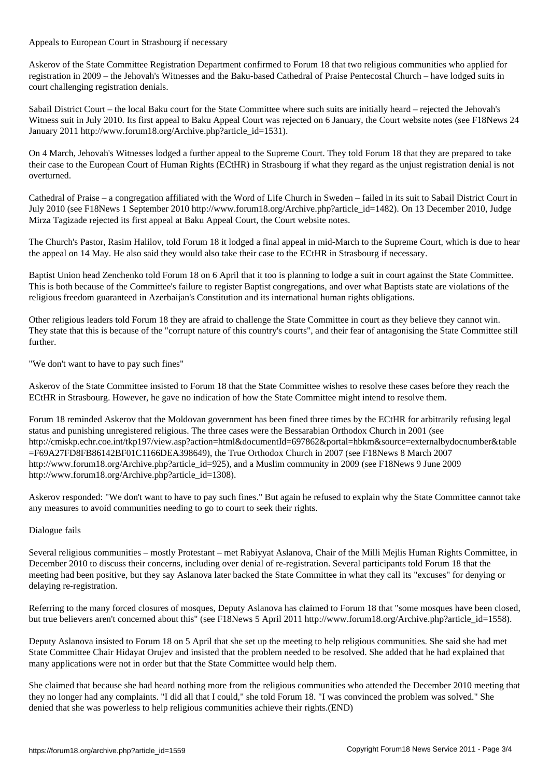Appeals to European Court in Strasbourg if necessary

Askerov of the State Committee Registration Department confirmed to Forum 18 that two religious communities who applied for registration in 2009 – the Jehovah's Witnesses and the Baku-based Cathedral of Praise Pentecostal Church – have lodged suits in court challenging registration denials.

Sabail District Court – the local Baku court for the State Committee where such suits are initially heard – rejected the Jehovah's Witness suit in July 2010. Its first appeal to Baku Appeal Court was rejected on 6 January, the Court website notes (see F18News 24 January 2011 http://www.forum18.org/Archive.php?article\_id=1531).

On 4 March, Jehovah's Witnesses lodged a further appeal to the Supreme Court. They told Forum 18 that they are prepared to take their case to the European Court of Human Rights (ECtHR) in Strasbourg if what they regard as the unjust registration denial is not overturned.

Cathedral of Praise – a congregation affiliated with the Word of Life Church in Sweden – failed in its suit to Sabail District Court in July 2010 (see F18News 1 September 2010 http://www.forum18.org/Archive.php?article\_id=1482). On 13 December 2010, Judge Mirza Tagizade rejected its first appeal at Baku Appeal Court, the Court website notes.

The Church's Pastor, Rasim Halilov, told Forum 18 it lodged a final appeal in mid-March to the Supreme Court, which is due to hear the appeal on 14 May. He also said they would also take their case to the ECtHR in Strasbourg if necessary.

Baptist Union head Zenchenko told Forum 18 on 6 April that it too is planning to lodge a suit in court against the State Committee. This is both because of the Committee's failure to register Baptist congregations, and over what Baptists state are violations of the religious freedom guaranteed in Azerbaijan's Constitution and its international human rights obligations.

Other religious leaders told Forum 18 they are afraid to challenge the State Committee in court as they believe they cannot win. They state that this is because of the "corrupt nature of this country's courts", and their fear of antagonising the State Committee still further.

"We don't want to have to pay such fines"

Askerov of the State Committee insisted to Forum 18 that the State Committee wishes to resolve these cases before they reach the ECtHR in Strasbourg. However, he gave no indication of how the State Committee might intend to resolve them.

Forum 18 reminded Askerov that the Moldovan government has been fined three times by the ECtHR for arbitrarily refusing legal status and punishing unregistered religious. The three cases were the Bessarabian Orthodox Church in 2001 (see http://cmiskp.echr.coe.int/tkp197/view.asp?action=html&documentId=697862&portal=hbkm&source=externalbydocnumber&table =F69A27FD8FB86142BF01C1166DEA398649), the True Orthodox Church in 2007 (see F18News 8 March 2007 http://www.forum18.org/Archive.php?article\_id=925), and a Muslim community in 2009 (see F18News 9 June 2009 http://www.forum18.org/Archive.php?article\_id=1308).

Askerov responded: "We don't want to have to pay such fines." But again he refused to explain why the State Committee cannot take any measures to avoid communities needing to go to court to seek their rights.

#### Dialogue fails

Several religious communities – mostly Protestant – met Rabiyyat Aslanova, Chair of the Milli Mejlis Human Rights Committee, in December 2010 to discuss their concerns, including over denial of re-registration. Several participants told Forum 18 that the meeting had been positive, but they say Aslanova later backed the State Committee in what they call its "excuses" for denying or delaying re-registration.

Referring to the many forced closures of mosques, Deputy Aslanova has claimed to Forum 18 that "some mosques have been closed, but true believers aren't concerned about this" (see F18News 5 April 2011 http://www.forum18.org/Archive.php?article\_id=1558).

Deputy Aslanova insisted to Forum 18 on 5 April that she set up the meeting to help religious communities. She said she had met State Committee Chair Hidayat Orujev and insisted that the problem needed to be resolved. She added that he had explained that many applications were not in order but that the State Committee would help them.

She claimed that because she had heard nothing more from the religious communities who attended the December 2010 meeting that they no longer had any complaints. "I did all that I could," she told Forum 18. "I was convinced the problem was solved." She denied that she was powerless to help religious communities achieve their rights.(END)